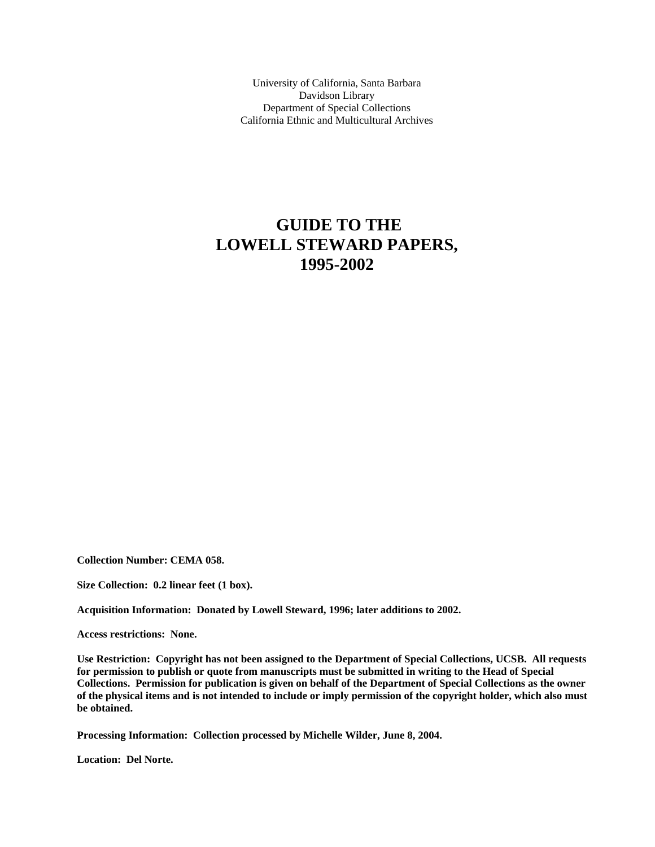University of California, Santa Barbara Davidson Library Department of Special Collections California Ethnic and Multicultural Archives

## **GUIDE TO THE LOWELL STEWARD PAPERS, 1995-2002**

**Collection Number: CEMA 058.** 

**Size Collection: 0.2 linear feet (1 box).** 

**Acquisition Information: Donated by Lowell Steward, 1996; later additions to 2002.** 

**Access restrictions: None.**

**Use Restriction: Copyright has not been assigned to the Department of Special Collections, UCSB. All requests for permission to publish or quote from manuscripts must be submitted in writing to the Head of Special Collections. Permission for publication is given on behalf of the Department of Special Collections as the owner of the physical items and is not intended to include or imply permission of the copyright holder, which also must be obtained.** 

**Processing Information: Collection processed by Michelle Wilder, June 8, 2004.** 

**Location: Del Norte.**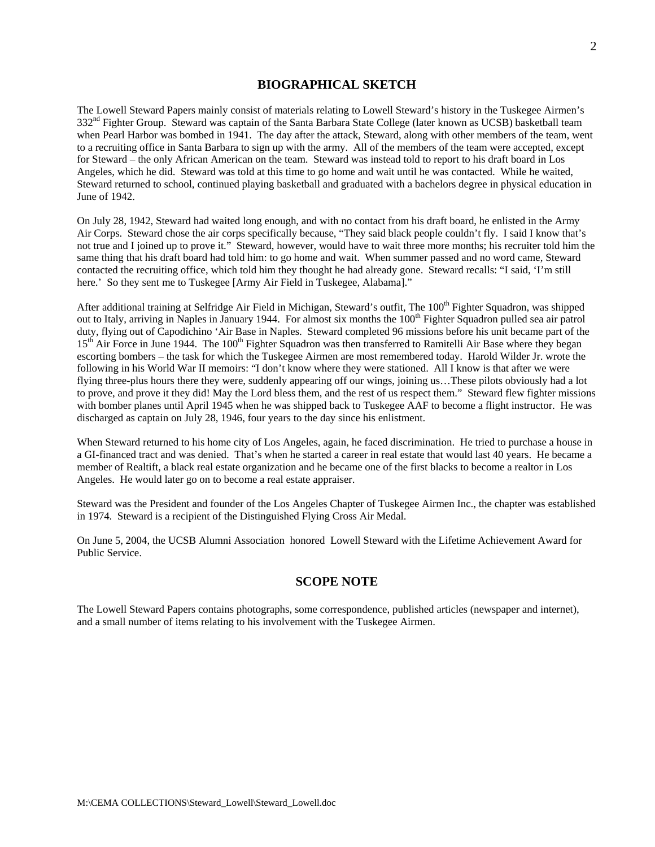## **BIOGRAPHICAL SKETCH**

The Lowell Steward Papers mainly consist of materials relating to Lowell Steward's history in the Tuskegee Airmen's 332<sup>nd</sup> Fighter Group. Steward was captain of the Santa Barbara State College (later known as UCSB) basketball team when Pearl Harbor was bombed in 1941. The day after the attack, Steward, along with other members of the team, went to a recruiting office in Santa Barbara to sign up with the army. All of the members of the team were accepted, except for Steward – the only African American on the team. Steward was instead told to report to his draft board in Los Angeles, which he did. Steward was told at this time to go home and wait until he was contacted. While he waited, Steward returned to school, continued playing basketball and graduated with a bachelors degree in physical education in June of 1942.

On July 28, 1942, Steward had waited long enough, and with no contact from his draft board, he enlisted in the Army Air Corps. Steward chose the air corps specifically because, "They said black people couldn't fly. I said I know that's not true and I joined up to prove it." Steward, however, would have to wait three more months; his recruiter told him the same thing that his draft board had told him: to go home and wait. When summer passed and no word came, Steward contacted the recruiting office, which told him they thought he had already gone. Steward recalls: "I said, 'I'm still here.' So they sent me to Tuskegee [Army Air Field in Tuskegee, Alabama]."

After additional training at Selfridge Air Field in Michigan, Steward's outfit, The 100<sup>th</sup> Fighter Squadron, was shipped out to Italy, arriving in Naples in January 1944. For almost six months the 100<sup>th</sup> Fighter Squadron pulled sea air patrol duty, flying out of Capodichino 'Air Base in Naples. Steward completed 96 missions before his unit became part of the 15<sup>th</sup> Air Force in June 1944. The 100<sup>th</sup> Fighter Squadron was then transferred to Ramitelli Air Base where they began escorting bombers – the task for which the Tuskegee Airmen are most remembered today. Harold Wilder Jr. wrote the following in his World War II memoirs: "I don't know where they were stationed. All I know is that after we were flying three-plus hours there they were, suddenly appearing off our wings, joining us…These pilots obviously had a lot to prove, and prove it they did! May the Lord bless them, and the rest of us respect them." Steward flew fighter missions with bomber planes until April 1945 when he was shipped back to Tuskegee AAF to become a flight instructor. He was discharged as captain on July 28, 1946, four years to the day since his enlistment.

When Steward returned to his home city of Los Angeles, again, he faced discrimination. He tried to purchase a house in a GI-financed tract and was denied. That's when he started a career in real estate that would last 40 years. He became a member of Realtift, a black real estate organization and he became one of the first blacks to become a realtor in Los Angeles. He would later go on to become a real estate appraiser.

Steward was the President and founder of the Los Angeles Chapter of Tuskegee Airmen Inc., the chapter was established in 1974. Steward is a recipient of the Distinguished Flying Cross Air Medal.

On June 5, 2004, the UCSB Alumni Association honored Lowell Steward with the Lifetime Achievement Award for Public Service.

## **SCOPE NOTE**

The Lowell Steward Papers contains photographs, some correspondence, published articles (newspaper and internet), and a small number of items relating to his involvement with the Tuskegee Airmen.